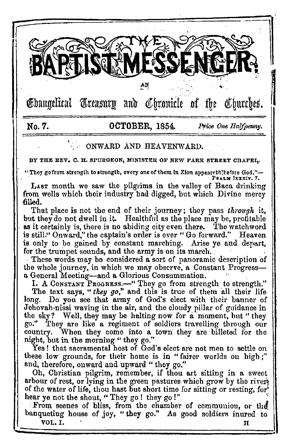

 $\mathrel{\mathsf{\mathfrak{E}}}$ bangelical Treasury and  $\mathrel{\mathsf{\mathfrak{E}}}$  fromicle of the Churches.

# **No.7. OCTOBER,** 1854. Price *One Halfpenny,*

# ONWARD AND HEAVENWARD.

BY THE REV. C. H. SPURGEON, MINISTER OF NEW PARK STREET CHAPEL.

"They go from strengtl1 to strength, every one of them In Zion appeareth1terore God.''..:.. · **Pa.u,><** lxxxiv. *7.* 

LAST month we saw the pilgrims in the valley of Baca drinking from wells which their industry had digged, but which Divine mercy filled.

That place is not the end of their journey; they pass *through* it, but they do not dwell in it. Healthful as the place may be, profitable as it certainly is, there is no abiding city even there. The watchword is still," Onward," fhe captain's order is ever " Go forward." Heaven is only to be gained by constant marching. Arise ye and depart, for the trumpet sounds, and the army is on its march.

These words may bo considered a sort of panoramic description of the whole journey, in which we may observe, a Constant Progress**a** General Meeting-and a Glorious Consummation. .

I. A CONSTANT PROGRESS.—" They go from strength to strength." The text says, "*they go*," and this is true of them all their life long. Do you see that army of God's elect with their banner of Jehovah-nissi waving in the air, and the cloudy pillar of guidance in the sky? Well, they may be halting now for a moment, but "they<br>go." They are like a regiment of soldiers travelling through our They are like a regiment of soldiers travelling through our country. When they come into a town they are billeted for the night, but in the morning "they go."

Yes! that sacramental host of God's elect are not men to settle on these low grounds, for their home is in "fairer worlds on high;" and, therefore, onward and upward " they go."

Oh, Christian pilgrim, remember, if thou art sitting in a sweet arbour of rest, or lying in the green pastures which grow by the river of the water of life, thou hast but short time for sitting or resting, for hear ye not the shout, "They go! they go!"

From scenes of bliss, from the chamber of communion, or the banqueting house of joy, " they go." As good soldiers inured to VOL.I. THE STATE OF THE STATE OF THE STATE OF THE STATE OF THE STATE OF THE STATE OF THE STATE OF THE STATE OF THE STATE OF THE STATE OF THE STATE OF THE STATE OF THE STATE OF THE STATE OF THE STATE OF THE STATE OF THE STA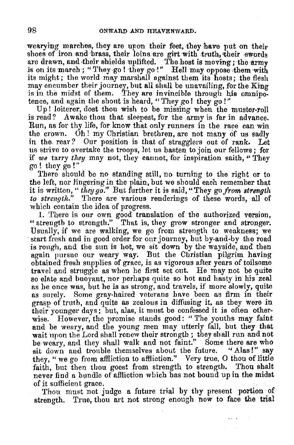wearying marches, they are upon their feet, they have put on their shoes of iron and brass, their loins are girt with truth, their swords shoes of iron and brass, their loins are girt with truth, their swords<br>are drawn, and their shields uplifted. The host is moving; the army is on its march ; "They go ! they go!" Hell may oppose ,them with its might; the world may marshall against them its hosts; the flesh may encumber their journey, but all shall be unavailing, for the King is in the midst of them. They are invincible through his omnipotence, and again the shout is heard, "They go! they go!"

Up! loiterer, dost thou wish to be missing when the muster-roll is read? Awake thou that sleepest, for the army is far in advance. Run, as for thy life, for know that only runners in the race can win the crown. Oh! my Christian brethren, are not many of us sadly in the rear? Our position is that of stragglers out of rank. Let us strive to overtake the troops, let us basten to join our fellows; for if *we* tarry *they* may not, they cannot, for inspiration saith, "They go! they go!"

There should be no standing still, no turning to the right or to the left, nor lingering in the plain, but we should each remember that it is written, " *they go.*" But further it is said, "They go *from strength to strengtlt."* There are various renderings of these words, all of which contain the idea of progress.

1. There is our own good translation of the authorized version, " strength to strength." That is, they grow stronger and stronger.<br>Usually, if we are walking, we go from strength to weakness; we start fresh and in good order for our journey, but by-and-by the road is rough, and the sun is hot, we sit down by the wayside, and then again pursue our weary way. But the Christian pilgrim having obtained fresh supplies of grace, is as vigorous after years of toilsome so elate and buoyant, nor perhaps quite so hot and hasty in his zeal as he once was, but he is as strong, and travels, if more slowly, quite as surely. Some gray-haired veterans have been as firm in their grasp of truth, and quite as zealous in diffusing it, as they were in their vounger days; but, alas, it must be confessed it is often otherwise. However, the promise stands good: " The youths may faint and be weary, and the young men may utterly fall, but they that wait upon the Lord shall renew their strength; they shall run and not be weary, and they shall walk and not faint." Some there are who sit down and trouble themselves about the future. "Alas!" say sit down and trouble themselves about the future. they, "we go from affliction to affliction." Very true, O thou of little faith, but then thou goest from strength to strength. Thou shalt never find a bundle of affliction which has not bound up in the midst

of it sufficient grace.<br>Thou must not judge a future trial by thy present portion of strength. Trne, thou art not strong enough now to face the trial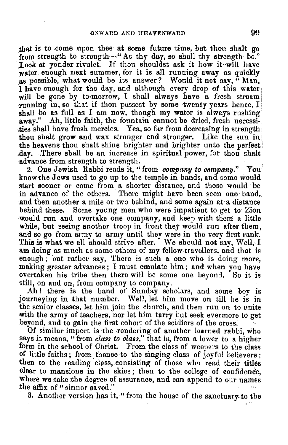that is to come upon thee at some future time, but thou shalt go from strength to strength-" As thy day, so shall thy strength be." Look at yonder rivulet. If thou shouldst ask it how it will have water enough next summer, for it is all running away as quickly as possible, what would be its answer? Would it not say, " Man, I have enough for the day, and although every drop of this water <sup>1</sup> will be gone by to-morrow, I shall always have a fresh stream running in, so that if thou passest by some twenty years hence, I shall be as full as I am now, though my water is always rushing away." Ah, little faith, the fountain cannot be dried, fresh necessi-. ,ties shall have fresh mercies. Yea, so far from decreasing in strength: thou shalt grow and wax stronger and stronger. Like the sun in the heavens thou shalt shine brighter and brighter unto the perfect: day. There shall be an increase in spiritual power, for thou shalt -advance from strength to strength.

2. One Jewish Rabbi reads it, "from *company to company.*" You<sup>1</sup> know the Jews used to go up to the temple in bands, and some would start sooner or come from a shorter distance, and these would be in advance of the others. There might have been seen one band, and then another a mile or two behind, and some again at a distance behind these. Some yonng men who were impatient to get ·to· Zion would run and overtake one company, and keep with them a little while, but seeing another troop in front they would run after them. and so go from army to army until they were in the very first rank. This is what we all should strive after. We should not say, Well, I am doing as much as some others of my fellow-travellers, and that is enough; but rather say, There is such a one who is doing more, making greater advances ; I must emulate him; and when you have overtaken his tribe then there will be some one beyond. So it is still, on and on, from company to company.

Ah ! there is the band of Sumlay scholars, and some boy is journeying in **that** number. Well, let him move on till he is **in**  ·the senior classes, let him join the church, and then run on to unite with the army of teachers, nor let him tarry but seek evermore to get beyond, and to gain the first cohort of the soldiers of the cross.

Of similar import is the rendering of another learned rabbi, who says it means, "from *class to clas.~,"* that is, from **a** lower to a higher form in the school of Christ. From the class of weepers to the class of little faiths; from. thence to the singing class of joyful believers ; then to the reading class, consisting of those who read their titles clear to mansions in the skies; then to the college of confidence, where we take the degree of assurance, and can append to our names the affix of " sinner saved."

8. Another version has it, "from the house of the sanctuary to the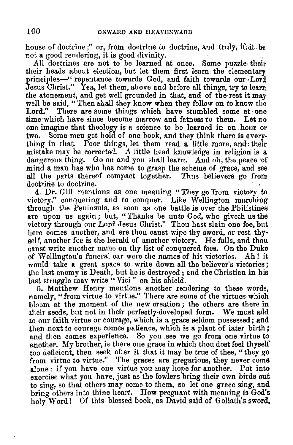house of doctrine;" or, from doctrine to doctrine, and truly, if, it , be not a good rendering, it is good divinity.

All doctrines are not to be learned at once. Some puzzle, their their heads about election, but let them first learn the elementary principles-" repentance towards God, and faith towards our Lord Jesus Christ." Yea, let them, above and before all things, try to learn the atonement, and get well grounded in that, and of the rest it may well be said, "'l'hen shall they know when they follow on to know the Lord." There are some things which have stumbled some at one time which have since become marrow and fatness to them. Let no one imagine that theology is a science to be learned in an hour or two. Some men get hold of one book, and they think there is everything in that. Poor things, let them read **a** little more, and: their mistake may be corrected. A little head knowledge in religion **is a**  dangerous thing. Go on and you shall learn. And oh, the peace of mind a man has who has come to grasp the scheme of grace, and see all the parts thereof compact together. Thus believers go from doctrine to doctrine.

4. Dr. Gill mentions as one meaning "They go 'from victory to victory," conquering and to conquer. Like Wellington marching through the Peninsula, as soon as one battle is over the Philistines are upon us again; but, "Thanks be unto God, who giveth us the victory through our Lord Jesus Christ." Thou hast slain one foe, but here comes another, and ere thou canst wipe thy sword, or rest thyself, another foe is the herald of another victory. He falls, and thou canst write another namo on thy list of conquered foes. On the Duke of Wellington's funeral car were the names of his victories. Ah! it would take a great space to write down all the believer's victories; the last enemy is Death, but he is destroyed; and the Christian in his last struggle may write "Vici" on his shield.

u. Matthew Henry mentions another rendering to these words, namely, "from virtue to virtue." There are some of the virtues which bloom at the moment of the new creation; the others are there in their seeds, but not in their perfectly-developed form. We must add to our faith virtue or courage, which is a grace seldom possessed; and then next to courage comes patience, which is a plant of later birth; and then comes experience. So you see we go from one virtue to another. My brother, is there one grace in which thou dost feel thyself too deficient, then seek after it that it may be true of thee, "they go from virtue to virtue." The graces are gregarious, they never come alone: if you have one virtue you may hope for another. Put into exercise what you have, just as the fowlers bring their own birds out to sing, so that others may come to them, so let one grace sing, and bring others into thine heart. How pregnant with meaning is God's holy Word! Of this blessed book, as David said of Goliath's sword,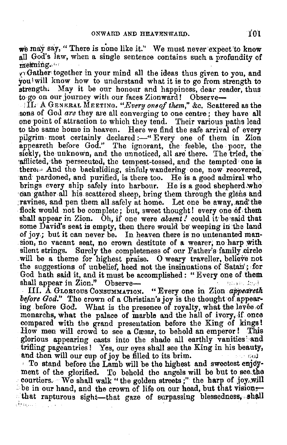we may say, "There is none like it." We must never expect to know all God's law, when a single sentence contains such a profundity of  $m$ e $m$ ing., $\cdots$ 

'fl .Gather, together in your mind all the ideas thus given to you, and youlwill know how to understand what it is to go from strength to strength. May it be our honour and happiness, dear reader, thus to go on our journey with our faces Zionward! Observe--<br>II. A GENERAL MEETING. "Every one of them," &c. Scattered as the

sons of God *are* they are all converging to one centre; they have all one point of attraction to which they tend. Their various naths lead to the same home in heaven. Here we find the safe arrivol of every pilgrim most certainly declared:-" Every one of them in Zion appeareth before God." The ignorant, the feeble, the poor, the sickly, the unknown, and the unnoticed, all are there. The tried, the afflicted, the persecuted, the tempest-tossed, and the tempted one is there. And the backsliding, sinful, wandering one, now recovered, and pardoned, and purified, is there too. He is a good admiral who brings every ship safely into harbour. He is a good shepherd who can gather all his scattered sheep, bring them through the glens and ravines, and pen them all safely at home. Let one he away, and the flock would not be complete; but, sweet thought! every one of them shall appear in Zion. Oh, if one were *absent*! could it be said that some David's seat is empty, then there would be weeping in the land of joy: but it can never be. In heaven there is no untenanted man-<br>sion, no vacant seat, no crown destitute of a wearer; no harp with silent strings. Surely the completeness of our Father's family circle will be a theme for highest praise. 0 weary traveller, believe not the suggestions of unbelief, heed not the insinuations of Satan'; for God hath said it, and it must be accomplished: "Every one of them shall appear in Zion." Observe... shall appear in Zion." Observe-

• III. A GLORIOUS CoNSUMMATION. "Every one in Zion *ajipea'retk*  before God." The crown of a Christian's joy is the thought of appearing before God. What is the presence of royalty, what the levee of monarchs, what the palace of marble and the hall of ivory, if once compared with the grand presentation before the King of kings! How men will crowd to see a Cæsar, to behold an emperor! This glorious appearing casts into the shade all earthly vanities and trifling pageantries! Yes, our eyes shall see the King in his beauty, and then will our cup of joy be filled to its brim.

To stand before the Lamb will be the highest and sweetest enjoyment of the glorified. To behold the angels will be but to see the ý. courtiers. We shall walk "the golden streets;" the harp of joy, will be in our hand, and the crown of life on our head, but that visionsthat rapturous sight-that gaze of surpassing blessedness, shall  $\delta$ ergas politikas ir  $\sim$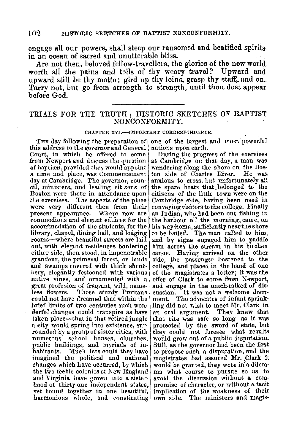engage all our powers, shall steep our ransomed and beatified spiritsin an ocean of sacred and unutterable bliss.

Are not then, beloved fellow-travellers, the glories of the new world worth all the pains and toils of thy weary travel? Upward and upward still be thy motto; gird up thy loins, grasp thy staff, and on. Tarry not, but go from strength to strength, until thou dost appear before God.

# TRIALS FOR THE TRUTH ; HISTORIC SKETCHES OF BAPTIST NONCONFORMITY.

### CHAPTER XVJ.-JMPORTANT CORRESPONDENCE,

this address to the governor and General Court, in which he offered to come from Newport and discuss the question at Cambridge on that day, a man was of haptism, provided they would appoint wandering along the shore on the Bos• a time and place, was Commencement ton side of Charles lliver. He was cil, ministers, and leading citizens of the spare boats that belonged to the Boston were there in attendance upon citizens of the little town were on the Boston were there in attendance upon citizens of the little town were on the the exercises. The aspects of the place Cambridge side, having been used in the exercises. The aspects of the place Cambridge side, having been used in were very different then from their conveying visitors to the college. Finally were very different then from their present appearance. Where now are present appearance. Where now are an Indian, who had been out fishing in commodious and elegant edifices for the  $\vert$  the harbour all the morning, came, on commodious and elegant edifices for the the harbour all the morning, came, on accommodation of the students, for the lis way-home, sufficiently near the shore library, chapel, dining hall, and lodging to be hailed. The ma library, chapel, dining hall, and lodging tooms—where beautiful streets are laid. out, with elegant residences bordering either side, then stood, in impenetrable canoe. Having arrived on the other grandeur, the primeval forest, or lands side, the passenger hastened to the grandeur, the primeval forest, or lands and swamps covered with thick shrubhery, elegantly festooned with various of the magistrates a letter; it was the native vines, and ornamented with a offer of Clark to come from Newport. great profusion of fragrant, wild, name- and engage in the much-talked of dis-<br>less flowers. Those sturdy Puritans cussion. It was not a welcome docu-Less flowers. Those sturdy Puritans ensign. It was not a welcome docu-<br>could not have dreamed that within the ment. The advocates of infant sprinkhrief limits of two centuries such won- ling did not wish to meet  $Mr.$  Clark in derful changes could transpire as have an oral argument. They knew that taken place—that in that retired jungle that rite was safe so long as it was taken place---that in that retired jungle that rite was safe so long as it was n city would spring into existence, sur- protected by the sword of state, but rounded by a gronp of sister cities, with they could not foresee what results numerous school houses, churches, would grow out of a public disputation.<br>public buildings, and myriads of in-[Still, as the governor had been habitants. Much less could they have to propose such a disputation, and the imagined the political and national magistrates had assured Mr. Clark it changes which have occurred, by which would be granted, they were in<sup>\*</sup>a dilem-<br>the two feeble colonies of New England may what course to pursue so as to the two feeble colonies of New England  $\vert$  ma what course to pursue so as to and Virginia have grown into a sister avoid the discussion without a comhood of thirty-one independent states, promise of character, or without a tacit yet bound together in one beautiful, implication of the weakness of their

THE day following the preparation of one of the largest and most powerful<br>is address to the governor and General nations upon earth.

During the progress of the exercises<br>at Cambridge on that day, a man was anxious to cross, but unfortunately all<br>the spare boats that belonged to the and by signs engaged him to paddle him across the stream in his birchen college, and placed in the hand of one offer of Clark to come from Newport, and engage in the much talked of dis-Still, as the governor had been the first magistrates had assured Mr. Clark it harmonious whole, and constituting own side. The ministers and magis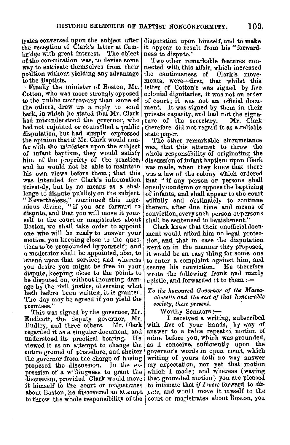trates conversed upon the subject after the reception of Clark's letter at Cambridge with great interest. The object<br>of the consultation was, to devise some way to extriente themselves from their position without yielding any advantage

Finally the minister of Boston, Mr. Cotton, who was more strongly opposed to the public controversy than some of the others, drew up a reply to send back, in which he stated that Mr. Clark had misunderstood the governor, who had not enjoined or counselled a public disputation, but had simply expressed<br>the opinion that if Mr. Clark would confer with the ministers upon the subject of infant baptism, they would satisfy him of the propriety of the practice, and he would not be able to maintain his own views before them ; that this was intended for Clark's information privately, but by no means as a challenge to dispute publicly on the subject. "Nevertheless," continued this inge-nious divine, " if you are forward to dispute, and that you will move it yourself to the court or magistrates about<br>Boston, we shall take order to appoint one who will be ready to answer vour motion, you keeping close to the ques-<br>tions to be propounded by yourself; and a moderator shall be appointed, also, to attend upon that service; and whereas you desire you might be free in your dispute., keeping close to the points to be disputed on, without incurring damage by the civil justice, observing what<br>hath before been written, it is granted. The day may be agreed if you yield the *clmsetts and the rest oj that honourable*  premises." **premises.**" **but all these present. premises."** 

This was signed by the governor,  $Mr.$  Worthy Senators:--<br>ndicott, the deputy governor,  $Mr.$  I received a writing, subscribed Endicott, the deputy governor, Mr.<br>Dudley, and three others. Mr. Clark Dudley, and three others. Mr. Clark with five of your hands, by way of regarded it as a singular document, and answer to a twice repeated motion of regarded it as a singular document, and understood its practical bearing. He mine before you, which was grounded, viewed it as an attempt to change the as I conceive, sufficiently upon the entire ground of procedure, and shelter governor's words in open court, which entire ground of procedure, and shelter governor's words in open court, which<br>the governor from the charge of having writing of yours doth no way answer the governor from the charge of having writing of yours doth no way answer proposed the discussion. In the ex- my expectation, nor yet that motion pression of a willingness to grant the which I made: and whereas (waving pression of a willingness to grant the discussion, provided Clark would move that grounded motion) you are pleased it himself to the court or magistrates to intimate that if I were forward to disit himself to the court or magistrates to throw the whole responsibility of the court or magistrates about Boston, you

disputation upon himself, and to **make**  it appear to result from his "forward-<br>ness to dispute."<br>Two other remarkable features con-

nected with this affair, which increased<br>the cautiousness of Clark's movements, were-first, that whilst this letter of Cotton's was signed by five colonial dignitaries, it was not an order of court; it was not an official document. It was signed by them in their private capacity, and had not the signa-<br>ture of the secretary. Mr. Clark ture of the secretary. therefore did not regard it as a reliable<br>state paper.

The other remarkable circumstance was, that this attempt to throw the whole responsibility of originating the discussion of infant baptism upon Clark<br>was made, when they knew that there<br>was a law of the colony which ordered that " if any person or persons shall openly condemn or oppose the baptizing of infants, and shall appear to the court wilfully and obstinately to continue therein, after due time and means of conviction, every such person or persons shall be sentenced to banishment."

Clark knew that their unofficial document would afford him no legal protection, and that in case the disputation went on in the manner they proposed, it would be an easy thing for some one to enter a complaint against him, and secure his conviction. He therefore wrote the following frank and manly epistle, and forwarded it to them  $:$ -

To the honoured Governor of the Massa-<br>chusetts and the rest of that honourable

i.

about Boston, he discovered an attempt *pute*, and would move it myself to the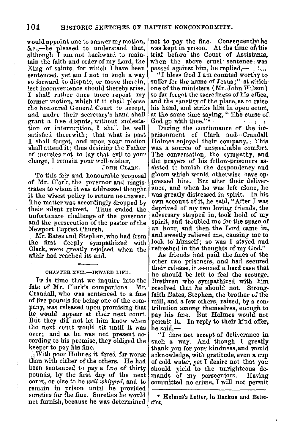would appoint one to answer my motion,  $\vert$ &c.,-be pleased to understand that, although I am. not backward to maintain the faith and order of my Lord, the King of saints, for which I have been sentenced, yet am I not in such a way so forward to dispute, or move therein, lest inconvenience should thereby arise. I shall rather once more repent my former motion, which if it shall please the honoured Genernl Court to accept, and under their secretary's hand shall grant a free dispute, without molestation or interruption, I shall be well satisfied therewith; that what is past I shall forget, and upon your motion shall attend it; thus desiring the Father of mercies not to lay that evil to your charge, I remain your well-wisher,

### JOHN CLARK.

To this fair and honourable proposal of Mr. Clark, the governor and magistrates to whom it was addressed thought it the wisest policy to return no answer. The matter was accordingly dropped by their silent retreat. Thus ended the unfortunate challenge of the governor and the persecution of the pastor of the Newport Baptist Church.

**Mr.** Bates and Stephen, who had from the first deeply sympathized with Clark, were greatly rejoiced when the affair had reached its end.

### CHAPTER XVII.-INWARD LIFE.

IT is time that we inquire into the fate of Mr. Clark's companions. Mr. Crandall, who was sentenced to **a** fine of five pounds for being one of the company, was released upon promising that he would appear at their next court. But they did not let him know when the next court would sit until it was over; and as he was not present according to his promise, they obliged the keeper to pay his fine.

; <sup>1</sup>With poor Holmes it fared far worse than with either of the others. He had been sentenced to pay **a** fine of thirty pounds, by the first day of the next court, or else to be *well whipped,* and to remain in prison until he provided sureties for the fine. Sureties he would not furnish, because he was determined

not to pay the fine. Consequently he was kept in prison. At the time of; his trial before the Court of Assistants,<br>when the above cruel sentence was passed against him, he replied,-- . !..,

"I bless God I am counted worthy to suffer for the name of Jesus;" at which-<br>one of the ministers (Mr.John Wilson)<br>so far forgot the sacredness of his office, and the sanctity of the place, as to raise his hand, and strike him in open court, at the same time saying, " The curse of God go with thee."\* God go with thee." $*$ 

During the continuance of the im• prisonment of Clark and Crandall Holmes enjoyetl their company. : This was a source of unspeakable comfort. The conversation, the sympathy, and the prayers of his fellow-prisoners as-<br>sisted to banish the despondency and gloom which would otherwise have oppressed him. But after their deliverance, and when he was left alone, he was greatly distressed in spirit. In his own account of it, he said, "After I was deprived of my two loving friends, the adversary stepped in, took hold of **my**  spirit, and troubled me for the space of an hour, and then. the Lord came in, and sweetly relieved me, causing me to look to himself; so was I stayed and refreshed in the thoughts of my God."

As friends had paid the fines of the other two prisoners, and had secured their release. it seemed a hard case that he should be left to feel the scourge. Brethren who sympathized with him resolved that he should not. Strongfaith Bates, Stephen, the brother of the mill, and a few others, raised, by a con• tribution among themselves, enough to pay his fine. But Holmes would not permit it. In reply to their kind offer, he said.—

"I dare not accept of deliverance in such a way. And though I greatly thank you for your kindness,and would acknowledge, with gratitude, even a cup of cold wnter, yet I desire not that you should yield to the unrighteous de-mands of my persecutors. Having committed. no crime, I will not permit

\* Holmes's Letter, In Backus and Bene• diet.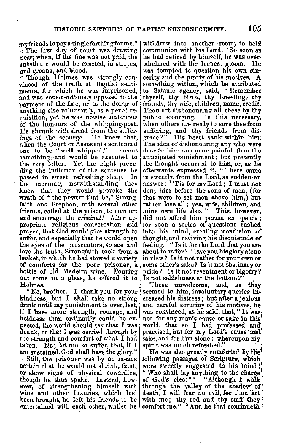inyfrlendstopayasinglefarthingforme." ~:The first day of court was drawing near; when, if the fine was not paid, the substitute would be exacted, in stripes,<br>and groans, and blood.

. Though Holmes was strongly convinced of the truth of Baptist sentiments, for which he was imprisoned, and was conscientiously opposed to the payment of the fine, or to the doing of<br>anything else voluntarily, as a penal requisition, yet he was nowise ambitious of the honours of the whipping-post. He shrunk with dread from the suffer• ings of the scourge. He knew that, when the Court of Assistants sentenced one' to be "well whipped," it meant something, and would be executed to the very letter. Yet the night preceding the infliction of the sentence he<br>passed in sweet, refreshing sleep. In passed in sweet, refreshing sleep. the morning, notwithstanding they knew that they would provoke the wrath of "the powers that be," Strongfaith and Stephen, with several other friends, called at the prison, to comfort and encourage the *criminal!* After ap• propriate religious conversation and prayer, that God would give strength to suffer, and especially that he would open the eyes of the persecutors, to see and love the truth, Strongfaith took from a basket, in whieh he had stowed a variety of' comforts for the poor prisoner, a bottle of old Madeira wine. Pouring out some in a glass, he offered it to Holmes.

"No, brother. I thank you for your kindness, but I shall take no strong drink until my punishment is over, lest, if I have more strength, courage, and pected, the world should say that I was drunk, or that I was carried through by the strength and comfort of what I had taken. No; let me so suffer, that, if I am sustained, God shall have the glory."

·. Still, the prisoner was by no means certain that he would not shrink, faint, or show signs of physical cowardice, though lie thus spake. Instead, however, of strengthening himself with wine and other luxuries, which had been brought, he left his friends to be entertained with each other, whilst he

withdrew into another room, to hold communion with his Lord. : So soon **as**  he had retired by himself, he was over-<br>whelmed with the deepest gloom. He was tempted to question his own sin• cerity and the purity of his motives. **A**  something within, which he attributed to Satanic· agency, said, "Remember thyself, thy birth, thy breeding, thy friends, thy wife, children; name, credit. Thou art dishonouring all these by thy public scourging. Is this necessary; when others are ready to save thee from suffering, and thy friends from disgrace?" His heart sank within him; The idea of dishonouring any who were dear to him was more painful than the anticipated punishment; but presently the thought occurred to him, or, as he<br>afterwards expressed it, "There came in sweetly, from the Lord, as sudden an answer: ' 'Tis for my Lord; I must not deny him before the sons of men, (for that were to set men above him,) but rather lose all; yea, wife, children, and mine own life also." This, however, did not afford him permanent peace; for soon a series of questions **rushed**  into his mind, creating· confusion of thought, and reviving his disquietude **of**  feeling. "Is it for the Lord that you are about to suffer? Have you his glory alone in view? Is it not rather for your own or some other's sake? Is it not obstinacy or pride? Is it not resentment or bigotry? Is not selfishness at the bottom?"

These unwelcome, and, as they seemed to him, involuntary queries in• creased his distress; but after a jealous and careful scrutiny of his motives, he' was convinced, as he said, that; "It was not for any man's cause or sake in this' world, that so I had professed and' practised, but for my Lord's cause and sake, and for him alone; whereupon my' spirit was much refreshed."

He was also greatly comforted by the following passages of Scripture, which were sweetly suggested to his mind: " Who shall lay anything to the charge of God's elect?" "Although I walk! through the valley of the shadow of death, I will fear no evil, for thou art" with me; thy rod and thy staff they comfort me." "And he that continueth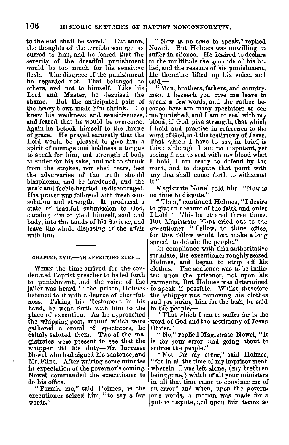to the end shall be saved." But anon, the thoughts of the terrible scourge oc• curred to him, and he feared that the severity of the dreadful punishment would be too much for his sensitive<br>flesh. The disgrace of the punishment The disgrace of the punishment he regarded not. That. belonged to others, and not to himself. Like his Lord and Master, he despised the shame. But the anticipated pain of But the anticipated pain of<br>vblows made him shrink. He the heavy blows made him shrink. knew his weakness and sensitiveness, and fe&rell that he would be overcome. **Again** he betook himself to the throne of grace. He prayed earnestly that the Lord would be pleased to give him a spirit of courage and boldness, a tongue to speak for him, and strength of body to suffer for his sake, and not to shrink from the strokes, nor shed tears, lest the adversaries of the truth should blaspheme, and be hardened, and the weak and feeble-hearted be discouraged. His prayer was followed with fresh con•<br>• solation and strength. It produced a<br>• state of trustful submission to God, causing him to yield himself, soul and body, into the hands of his Saviour, and leave the whole disposing of the affair with him.

### CHAPTER XVII.-AN AFFECTING SCENE.

·WHEN the time arrived for the condemned Baptist preacher to be led forth to punishment, and the voice of the iailer was heard in the prison, Holmes listened to it with a degree of cheerful-<br>ness. Taking his Testament in his hand, he went forth with him to the place of execution. As he approached the whipping-post, around which were gathered a crowd of spectators, he calmly saluted them. Two of the mawhipper did his duty-Mr. Increase Nowel who had signed his sentence, and Mr. Flint. After waiting some minutes in expectation of the governor's coming, Nowel commanded the executioner to

do his office.<br>- "Permit me," said Holmes, as the executioner seized him, "to say a few words."

"Now is no time to speak," replied Nowel. But Holmes was unwilling to suffer in silence. He desired to declare to the multitude the grounds of his belief, and the reasons of his punishment. He therefore lifted up his voice, and said,-

" Men, brothers, fathers, and countrymen, I beseech you give me leave, to speak a few words, and the rather be, cause here are many spectators to see me punished, and  $I$  am to seal with  $m_{\tilde{Y}}$ blood, if God give strength, that which I hold and practise in reference to the word of God, and the testimony of Jesus. That which I have to say, in brief, is this : although I am no disputant, yet seeing I am to seal with my blood what I hold, I am ready to defend by the word, and to dispute that point with any that shall come forth to withstand it."

Magistrate Nowel told him, "Now is no time to dispute."

"Then," continued Holmes, "I desire to give an account of the faith and onler I hold." This he uttered three times. But Magistrate Flint cried out to the executioner, "Fellow, do thine office, for this fellow would but make a long speech to delude the people."

In compliance with this authoritative mandate, the executioner roughly seized Holmes, and began to strip off his clothes. The sentence was to be infticted upon the prisoner, not upon his garments. But Holmes was determined to speak if possible. Whilst therefore the whipper was removing his clothes and preparing him for the lash, he said to the people,-

" That which I am to suffer for is the word of God and the testimony of Jesus Christ."

"No," replied Magistrate Nowel, "it is for your error, and going about to seduce the people."

"Not for my error," said Holmes, " for in all the time of my imprisonment, wherein I was left alone, (my brethren being gone,) which of all your ministers in all that time came to convince me of an error? and when, upon the governor's words, a motion was made for a public dispute, and upon fair terms so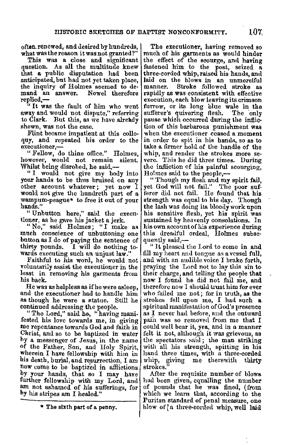often. renewed,. and desired by hundreds, what was the reason it was not granted?"

This was a close and significant question. As all the multitude knew that **a** public disputation had been anticipated, but had not yet taken place, the inquiry of Holmes seemed to de-<br>mand an answer. Nowel therefore mand an answer. replied.-

" It was the fault of him who went away and would not dispute," referring to Clark. But this, as we have already shown, was not the case.

Flint became impatient at this colloquy, and repeated his order to the executioner,-

" Fellow, do thine office." Holmes, however, would not remain silent. Whilst being disrobed, he said,—

" I would not give my body into your hands to be thus bruised on any other account whatever; yet now I would not give the hundreth part of a wampum-peague\* to free it out of your hands."

"Unbutton here," said the execu- tioner, as he gave his jacket a jerk.

" No," said Holmes; "I make as much conscience of unbuttoning one button as I do of paying the sentence of thirty pounds. I will do nothing to-I will do nothing towards executing such an unjust law."

Faithful to his word, he would not voluntarily assist the executioner in the least in removing his garments from his back.

He wag as helpless as if he were asleep, and the executioner had to handle him as though he were a statue. Still he continued addressing the people.

"The Lord," said he, "having manifested his love towards me, in giving me repentance towards God and faith in Christ, and so to be baptized in water hy a messenger of Jesus, in the name of the Father, Son, and Holy Spirit, wherein I have fellowship with him in his death, burial, and resurrection, I am now come to be baptized in afflictions by your hands, that so I may have<br>further fellowship with my Lord, and am not ashamed of his sufferings, for **by** his stripes am I healed,"

"' The sixth part of a penny.

The executioner, having removed so much of his garments as would hinder the effect of the scourge, and having fastened him to the post, seized a three-corded whip, raised his hands, and laid on the blows in an unmerciful manner. Stroke followed stroke as rapidly as was consistent. with effective execution, each blow leaving its crimson furrow, or its long blue wale in the sufferer's quivering flesh. The only pause which occurred during 1he inflic• tion of this barbarous punishment was when the executioner ceased a moment in order to spit in his hands, so as to take a firmer hold of the handle of the<br>whip, and render the strokes more severe. This he did three times. During the infliction of his painful scourging, Holmes said to the people,-

" Though my flesh and my spirit fail, yet God will not fail." The poor sufferer did not fail. He found that his strength was equal to his day. Though the lash was doing its bloocly work upon his sensitive flesh, yet his spirit was sustained by heavenly consolations. In his own account of his experience during this dreadful ordeal, Holmes subsequently said,-

" It pleasecl the Lord to come in and fill my heart and tongue as a vessel full, and with an auuible voice I brake forth, praying the Lord not to lay this sin to their charge, and telling the people **that** now I found he did not fail me, **and,**  who failed me not; for in truth, as the strokes fell upon me, I had such a spiritual manifestation of God's presence as I never had before, and the outward pain was so removed from me that I could well bear it, yea, and in a manner felt it not, although it was grievous, as the spectators said; the man striking with all his strength, spitting in his hand three times, with a three-corded whip, giving me therewith thirty strokes."

After the requisite number of blows had been given, equalling the number of pounds that he was fined, ( from which we learn that, according to the Puritan standard of penal measure, one blow of <sup>1</sup>a three•cordetl whip, well la.id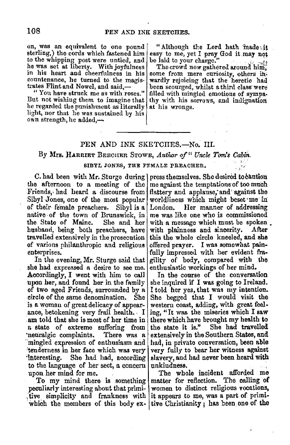on, was an equivalent to one pound sterling,) tho cords which fastened him to the whipping post were untied, and he was set at liberty. With joyfulness in his heart and cheerfulness in his countenance, he turned to the magistrates Flint and Nowel, and said,-

" You have struck me as with roses." But not wishing them to imagine that he regarded the punishment as literally light, nor that he was sustained by his own strength, he added, $\rightarrow$ 

"Although the Lord hath made, it easy to me, yet I pray God it may not be laid to your charge."

be laid to your charge.<br>" The crowd now gathered around him, some from mere curiosity, others inwardly rejoicing that the heretic had<br>been scourged, whilst a third class were filled with mingled emotions of sympathy with his sorrows, and indignation at his wrongs.

# PEN AND INK SKETCHES.-No. III.

By Mrs. HARRIET BEECHER STOWE, *Author of " Uncle Tom's Cabin.* 

### BIDYL JONES, THE FEMALE PREACHER,

the afternoon to a meeting of the Friends, had heard a discourse from Sibyl Jones, one of the most popular of their female preachers. Sibyl is a native of the town of Brunswick, in the State of Maine. She and her husband, being both preachers, have travelled extensively in the prosecution of varions philanthropic and religioue enterprises.

In the evening, Mr. Sturge said that she had expressed **a** desire to see me. Accordingly, I went with him to call upon her, and found her in the family of two aged Friends, surrounded by a circle of the same denomination. She is a woman of great delicacy of appearance, betokening very frail health. I **am** told that she is most of her time in a state of extreme suffering from •neuralgic complaints. There was **a**  mingled expression of enthusiasm and :tenderness in her face which was very 'interesting. She had had, according to the language of her sect, a concern upon her mind for me.

To my mind there is something peculiarly interesting about that primi tive simplicity and frankness with which the members of this body ex-

C. had been with Mr. Sturge during | press themselves. She desired to caution me against the temptations of too much flattery and applause, and against the worldliness which might beset• me in: London. Her manner of addressing me was like one who is commissioned with a message which must be spoken. with plainness and sincerity. After this the whole circle kneeled, and she offered prayer. I was somewhat pain~ fully impressed with her evident fragility of body, compared with the enthusiastic workings of her mind.

> In the course of the conversation she inquired if I was going to Ireland. I told her yes, that was my intention. She begged that I would visit the western coast, adding, with great feel~ ing, "It was the miseries which I saw there which have brought my health to<br>the state it is." She had travelled She had travelled extensively in the Southern States, and had, in private conversation, been able very fully to bear ber witness **against**  slavery, aud had never been heard with unkindness. :

> The whole incident afforded me matter for reflection. The calling of women to distinct religious vocations, it appears to me, was a part of primitive Christianity ; has been one of the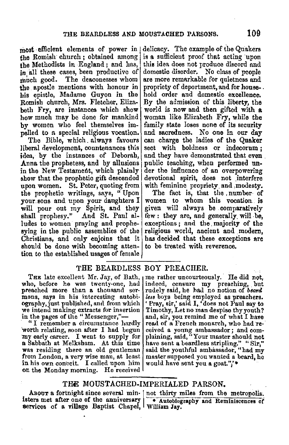most efficient elements of power in  $\frac{1}{2}$ the Romish church ; obtained among the Methodists in England ; and has, in all these cases, been productive of much good. The deaconesses whom the apostle mentions with honour in his epistle, Madame Guyon in the Romish church, Mrs. Fletcher, Elizabeth Fry, are instances which show how much may be done for mankind by women who feel themselves impelled to a special religious vocation.

The Bible, which. always favours liberal development, countenances this idea, by the instances of Deborah, Anna the prophetess, and by allusions in the New Testament, which plainly show that the prophetic gift descended upon women. St. Peter, quoting from the prophetic writings, says, " Upon your.sons and upon your daughters I will pour out my Spirit, and they shall prophesy." And St. Paul alludes to women praying and prophesying in the public assemblies of the Christians, and only enjoins that it should be done with becoming attention to the established usages of female

delicacy. The example of the Quakers **is a** sufficient proof that acting upon **this** idea does not produce discord ancl domestic disorder. No class of people are more remarkable for quietness and propriety of deportment, and for house- . hold order and domestic excellence. By the admission of this liberty, the world is now and then gifted with a woman like Elizabeth Fry, while the family state loses none of its security and sacredness. No one in our day can charge the ladies of the Quaker sect with boldness or indecorum ; and they have demonstrated that even public teaching, when performed under the influence of an overpowering devotional spirit, does not interfere with feminine propriety and modesty.

The fact is, that the , number of women to whom this vocation is given will always be comparatively few : they are, and generally will be, exceptions ; and the majority of the religious world, ancient and modern, has decided that these exceptions are to be treated with reverence.

### THE BEARDLESS BOY PREACHER.

THE late excellent Mr. Jay, of Bath, who, before he was twenty-one, had preached more than a thousand ser• mons, says in his interesting autobiography, just published, and from which we intend making extracts for insertion in the pages of the "Messenger,"--<br>"I remember a circumstance hardly

'worth relating, soon after I had begun a Sabbath at Melksham. At this time was residing there an old gentleman from London, a very wise man, at least in his own conceit. I called upon him on the Monday morning. He received

me rather uncourteously. He did not, indeed, censure my preaching, but rudely said, he had no notion of *beard less* boys being employed as preachers. 'Pray, sir,' said I, 'does not Paul say to Timothy, Let no man despise thy youth? and, sir, you remind me of what I have reived a young ambassador; and com-<br>plaining, said, "Your master should not have sent **a** beardless stripling." "Sir," said the youthful ambassador, "had my master supposed you wanted a beard, he would have sent you **a** goat.''/\*

# **THE** MOUSTACHED-IMPERIALED PARSON.

isters met after one of the anniversary • Autobiography and Reminiscences or aervices of a village Baptist Chapel, William Jay.

ABOUT a fortnight since several min- | not thirty miles from the metropolis.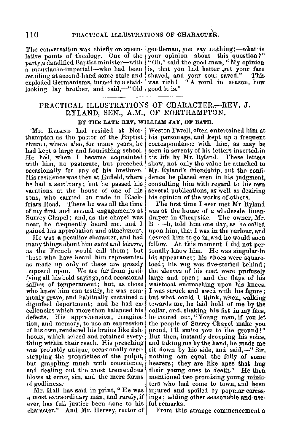lative points of theology. One of the your opinion about this question?"<br>party,a dandified Baptist minister—with "Oh," said the good man, "My opinion a moustache-imperial!--who had been is, that you had better get your face retailing at second-hand some stale and shaved, and your soul saved." This looking lay brother, and said, $-$ " Old good it is."

The conversation was chiefly on specu- gentleman, you say nothing;—what is lative noints of theology. One of the vour opinion about this question?" retailing at second-hand some stale and shaved, and your soul saved." This exploded Germanisms, turned to a staid- was rich! "A word in season, how

# PRACTICAL ILLUSTRATIONS OF CHARACTER.-REV, J. RYLAND, SEN., A.M., OF NORTHAMPTON.

### BY THE LATE REV, WILLIAM JAY, OF BATH.

MR. RYLAND had resided at Northampton as the pastor of the Baptist church, where also, for many years, he had kept a large and flourishing school. He had, when I became acquainted with him, no pastorate, but preached occasionally for any of his brethren. His residence was then at Enfield, where he had a seminary; but he passed his vacations at the house of one of his sons, who carried on trade in Blackfriars Road. There he was all the time of my first and second engagements at Surrey Chapel; and, as the chapel was near, he frequently heard me, and I gained his approbation aml attachment.

He was a peculiar character, and had many things about him *outre* and *bizarre*, as the French would call them; but those who have heard him represented ns made np only of these are grossly imposetl upon. We are far from justifying all his bold sayings, and occasional sallies of temperament; but, as those who knew him can testify, he was com-<br>monly grave, and habitually sustained a dignified deportment; and he had ex•<br>cellencies which more than balanced his defects. His apprehension, imagination, and memory, to use an expression of his own, rendered his brains like fishhooks, which seized and retained eyerything within their reach. His preaching was probably unique, occasionally overstepping the proprieties of the pulpit, but grappling much with conscience, and dealing out the most tremendous hlows at error, sin, and the mere forms of godliness,

Mr. Hall has said in print, "He was  $_0$  most extraordinary man, and rarely, if ever, has full justice been done to his ful remarks. character." And Mr. Hervey, rector of

Weston Favell, often entertained him at his parsonage, and kept up a frequent correspondence with him, as may be seen in seventy of his letters inserted in his life by Mr. Ryland. These letters show, not only the value he attached to Mr. Ryland's friendship, but the confidence he placed even in his jndgment, consulting him with regard to· his own several publications, as well as desiring his opinion of the works of others.

'fhe tirst time I ever met Mr. Hyland was at the house of a wholesale linendraper in Cheapside. The owner, Mr. ll--h, told him one day, as he called upon him, that I was in the parlour, and desired him to go in, and he would soon follow. At this moment I did not per· sonally know him. He was singular in his appearance; his shoes were squaretoed; his wig was five-storied behind; the sleeves of his coat were profusely large and open; and the flaps of his waistcoat encroaching upon his knees. I was struck and awed with his figure; but what could  $I$  think, when, walking towards me, he laid hold of me by the collar, and, shaking his fist in my face, he roared out," Young man, if you.let the people of Surrey Chapel make you proud, I'll smite you to the ground! " .llut then, instantly dropping his voice, and taking me by the hand, he made me sit down by his side, and said,-" Sir, nothing can equal the folly of aome hearers; they are like apes that hug their young ones to death." He then mentioned two promising young ministers who had come to town, and been injured and spoiled by popular caressings; adding other seasonable and use-

From this strange commencement a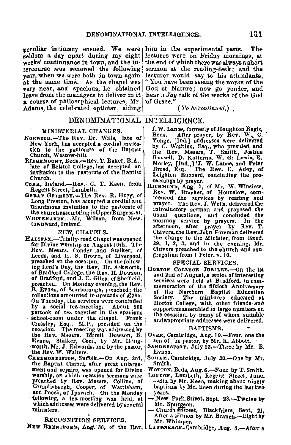peculiar intimacy ensued. We were him in the experimental parts. The seldom a day apart during my eight lectures were on Friday mornings, **at**  weeks' continuance in town, and the in• tercourse was renewed the following year, when we were both in town again<br>at the same time. As the chanel was very near, and spacious, he obtained leave from the managers to deliver in it leave from the managers to deliver in it **a** course of philosophical lectures, Mr. Adams, the celebrated optician, aiding

the end of which there was always a short sermon at the reading-desk; and the lecturer would say to his attendants, "You have been seeing the works of the God of Nature; now go yonder, and hear a *Jay* talk of the works of the God of Grace.

( *To be continued.)* 

### DENOMINATIONAL INTELLIGENCE.

### MINISTERIAL CHANGES.

- NoRWQOD.-The Rev. Dr. Wills, late of New York, has accepted a cordial invitation to the pastorate of the Baptist<br>Church, Westow-hill.
- RIDGEMOUNT, Beds.-Rev. T. Baker, B.A.,<br>late of Bristol College, has accepted an invitation to the pastorate of the Baptist Church.
- CORK, Ireland.-Rev. C. T. Keen, from Regent Street, Lambeth.
- GREAT GRIMSBY.-The Rev. R. Hogg, of Long Preston, has accepted a cordial and unanimous invitation to the pastorate of the churchassemblinginUpperBurgess-st.
- WHITEHAVEN.-Mr. Wilson, from Newtownward, Ireland.

### NEW, CHAPELS.

- HALIFAX.-Trinity-road Chapel was opened for Divine worship on August 10th. The Rev. Messrs. Conder and Stalker, of Leeds, and II. S. Brown, of Liverpool, preached on the occasion. On the follow-<br>ing Lord's Day, the Rev. Dr. Ackworth, of Bradford College, the Rev.H. Dowson, of Bradford, and J.E. Giles, of Sheffield, preached. On Monday evening, the Rev. B. Evans, of Scarborough, preached; the collections amounted to upwards of £285, On Tuesday, the services were concluded<br>by a social tea-meeting. About 500 by a social tea-meeting. partook of tea together in the spacious<br>school-room under the chapel. Frank school-room under the chapel. Crossley, Esq., M.P., presided on the occasion. The meeting was addressed by the Rev. Messrs. Bfrrell, Dowson, B. Evans, Stalker, Cecil, by Mr. llling• worth, Mr. J. Edwards, and by the pastor,<br>the Rev. W. Walters.
	- CHEDMONDISTON, Suffolk.--On Aug. 3rd, the Baptist Chapel, after great enlargement-aad repairs, was opened for Divine<br>worship, on which occasion sermons were **worship, on which occasion sermons were breached by Rev. Messrs. Collins, of Grundisburgh, Cooper, of Wattisham,<br>Grundisburgh, Cooper, of Wattisham,<br>and Poock, of Ipswich. On the Monday** following, a tea-meeting was held, at which addresses were delivered by several ministers. .

### RECOGNITION SERVICES.

J. W. Lance, formerly of Houghton Regis,<br>Beds. After prayer, by Rev. W. C. After prayer, by Rev. W. C. Yonge, [Ind.] addresses were delivered<br>by C. Warkins, Esq., who presided, and<br>the Rev. Messrs, T. Smith, Joshua<br>Russell, D. Katterns, W. G. Lewis, E.<br>Morley, [Ind..] J. W. Lanee, and Peter<br>Broad, Esq. The Rev. E. Adey, of Leighton Buzzard, concluding the pro-<br>ceedings by prayer.

ceedings by prayer.<br>R1cHMONND, Aug. 7, of Mr. W. Winslow.<br>Rev. W. Bracher, of Hounslow, com-<br>menced the services by reading and prayer. TheRev.J. Wells, delivered the introductory sermon and proposed the usual questions, and concluded the<br>morning service by prayers. In the afternoon, after prayer by Rev. T. Chivers, the Rev.John Foreman delivered the charge to the Minister, from Exod. 29, I, *2,* 3, and in the evening,. **Mr.**  Chivers preached to the church and con-<br>gregation from 1 Peter. v. 10.

#### SPECIAL SERVICES.

HORTON COLLEGE JUBILEE.-On the 1st and 2nd of August, a series of interesting<br>services were held at Bradford, in comservices were held at Bradford, in commonstion of the fiftieth Anniversary of the Northern Baptist . Education Horton College, with other friends and supporters assembled in large numbers on the occasion, by many of whom suitable and appropriate addresses were delivered.

#### BAPTISMS.

- OvER, Cambridge, Aug. 10.-Four, one the son of the pastor, by Mr. R. Abbott.
- SANDERSPOOT, July 23 .- Three by Mr. B. Evans.
- SOHAM, Cambridge, July 30.-One by Mr. Smith.
- WOTTON, Beds, Aug. 6.-Four by T. Smith.
- LONDON, Lambeth, Regent Street, June. -Six by Mr. Keen, making about ninety baptisms by Mr. Keen during the last two years.
- **-\_New** Park.Street, **Sept. 28.-Twelve by**  Mr. Spurgeon.<br>- Church Sstreet, Blackfriars, Sept. 21,
- After a sermon by Mr. Branch--Eight by Mr. Whimper.

NEW BRENTFORD, Aug. 30, of the Rev. LAKEBEACH-Cambridge, Aug. 6.-After a